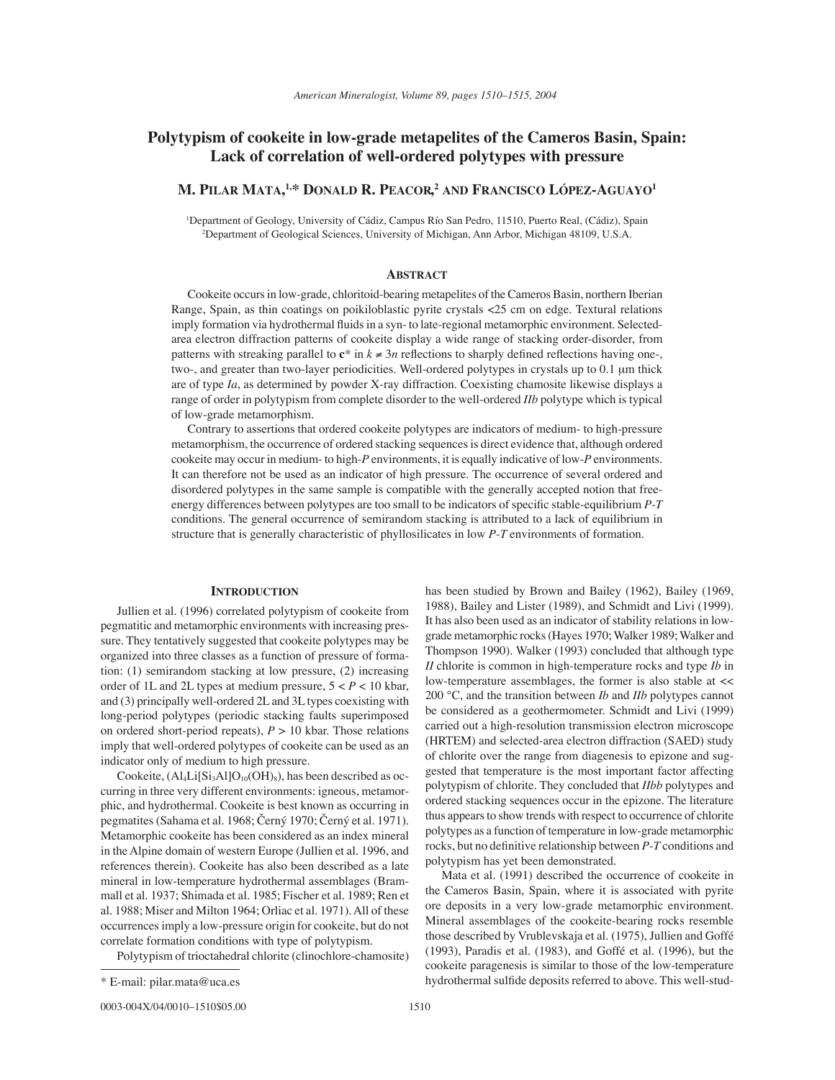# **Polytypism of cookeite in low-grade metapelites of the Cameros Basin, Spain: Lack of correlation of well-ordered polytypes with pressure**

## **M. PILAR MATA, 1,\* DONALD R. PEACOR, <sup>2</sup> AND FRANCISCO LÓPEZ-AGUAYO1**

1 Department of Geology, University of Cádiz, Campus Río San Pedro, 11510, Puerto Real, (Cádiz), Spain 2 Department of Geological Sciences, University of Michigan, Ann Arbor, Michigan 48109, U.S.A.

### **ABSTRACT**

Cookeite occurs in low-grade, chloritoid-bearing metapelites of the Cameros Basin, northern Iberian Range, Spain, as thin coatings on poikiloblastic pyrite crystals <25 cm on edge. Textural relations imply formation via hydrothermal fluids in a syn- to late-regional metamorphic environment. Selectedarea electron diffraction patterns of cookeite display a wide range of stacking order-disorder, from patterns with streaking parallel to  $c^*$  in  $k \neq 3n$  reflections to sharply defined reflections having one-, two-, and greater than two-layer periodicities. Well-ordered polytypes in crystals up to 0.1 µm thick are of type *Ia*, as determined by powder X-ray diffraction. Coexisting chamosite likewise displays a range of order in polytypism from complete disorder to the well-ordered *IIb* polytype which is typical of low-grade metamorphism.

Contrary to assertions that ordered cookeite polytypes are indicators of medium- to high-pressure metamorphism, the occurrence of ordered stacking sequences is direct evidence that, although ordered cookeite may occur in medium- to high-*P* environments, it is equally indicative of low-*P* environments. It can therefore not be used as an indicator of high pressure. The occurrence of several ordered and disordered polytypes in the same sample is compatible with the generally accepted notion that freeenergy differences between polytypes are too small to be indicators of specific stable-equilibrium *P-T* conditions. The general occurrence of semirandom stacking is attributed to a lack of equilibrium in structure that is generally characteristic of phyllosilicates in low *P*-*T* environments of formation.

### **INTRODUCTION**

Jullien et al. (1996) correlated polytypism of cookeite from pegmatitic and metamorphic environments with increasing pressure. They tentatively suggested that cookeite polytypes may be organized into three classes as a function of pressure of formation: (1) semirandom stacking at low pressure, (2) increasing order of 1L and 2L types at medium pressure, 5 < *P* < 10 kbar, and (3) principally well-ordered 2L and 3L types coexisting with long-period polytypes (periodic stacking faults superimposed on ordered short-period repeats),  $P > 10$  kbar. Those relations imply that well-ordered polytypes of cookeite can be used as an indicator only of medium to high pressure.

Cookeite,  $(Al_4Li[Si_3Al]O_{10}(OH)_8)$ , has been described as occurring in three very different environments: igneous, metamorphic, and hydrothermal. Cookeite is best known as occurring in pegmatites (Sahama et al. 1968; Černý 1970; Černý et al. 1971). Metamorphic cookeite has been considered as an index mineral in the Alpine domain of western Europe (Jullien et al. 1996, and references therein). Cookeite has also been described as a late mineral in low-temperature hydrothermal assemblages (Brammall et al. 1937; Shimada et al. 1985; Fischer et al. 1989; Ren et al. 1988; Miser and Milton 1964; Orliac et al. 1971). All of these occurrences imply a low-pressure origin for cookeite, but do not correlate formation conditions with type of polytypism.

Polytypism of trioctahedral chlorite (clinochlore-chamosite)

0003-004X/04/0010-1510\$05.00 1510

has been studied by Brown and Bailey (1962), Bailey (1969, 1988), Bailey and Lister (1989), and Schmidt and Livi (1999). It has also been used as an indicator of stability relations in lowgrade metamorphic rocks (Hayes 1970; Walker 1989; Walker and Thompson 1990). Walker (1993) concluded that although type *II* chlorite is common in high-temperature rocks and type *Ib* in low-temperature assemblages, the former is also stable at << 200 °C, and the transition between *Ib* and *IIb* polytypes cannot be considered as a geothermometer. Schmidt and Livi (1999) carried out a high-resolution transmission electron microscope (HRTEM) and selected-area electron diffraction (SAED) study of chlorite over the range from diagenesis to epizone and suggested that temperature is the most important factor affecting polytypism of chlorite. They concluded that *IIbb* polytypes and ordered stacking sequences occur in the epizone. The literature thus appears to show trends with respect to occurrence of chlorite polytypes as a function of temperature in low-grade metamorphic rocks, but no definitive relationship between *P*-*T* conditions and polytypism has yet been demonstrated.

Mata et al. (1991) described the occurrence of cookeite in the Cameros Basin, Spain, where it is associated with pyrite ore deposits in a very low-grade metamorphic environment. Mineral assemblages of the cookeite-bearing rocks resemble those described by Vrublevskaja et al. (1975), Jullien and Goffé (1993), Paradis et al. (1983), and Goffé et al. (1996), but the cookeite paragenesis is similar to those of the low-temperature \* E-mail: pilar.mata@uca.es hydrothermal sulfi de deposits referred to above. This well-stud-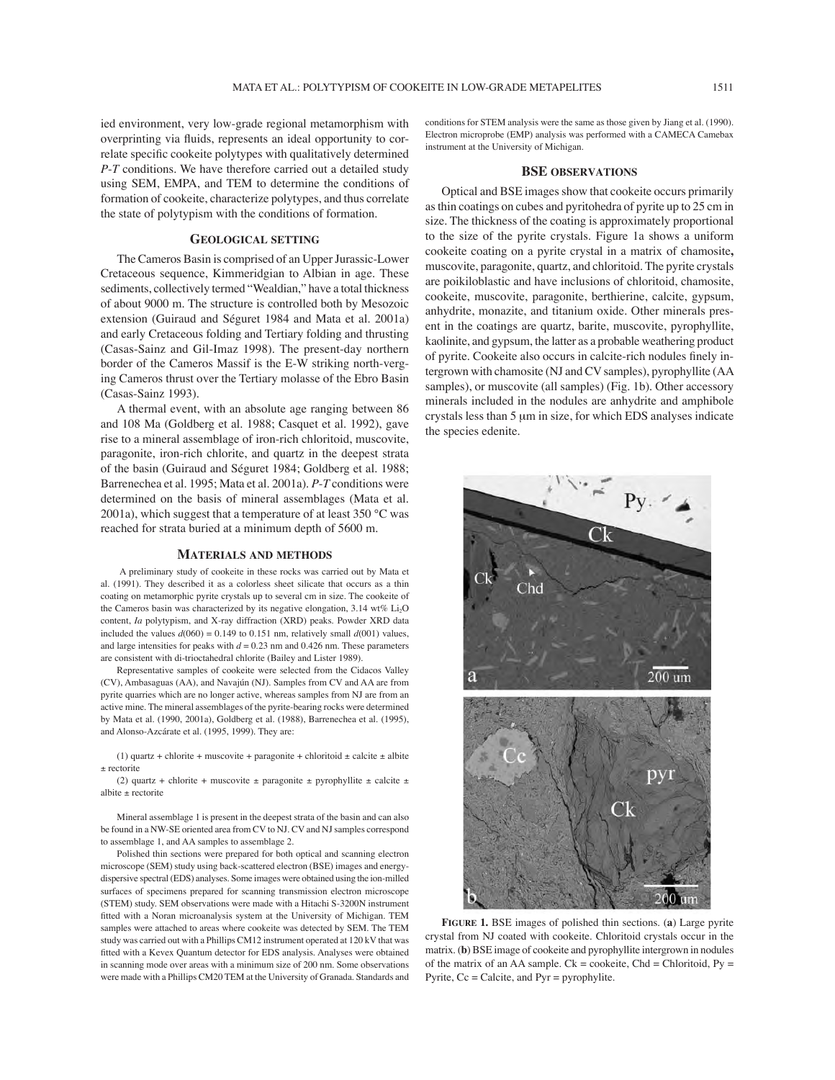ied environment, very low-grade regional metamorphism with overprinting via fluids, represents an ideal opportunity to correlate specific cookeite polytypes with qualitatively determined *P*-*T* conditions. We have therefore carried out a detailed study using SEM, EMPA, and TEM to determine the conditions of formation of cookeite, characterize polytypes, and thus correlate the state of polytypism with the conditions of formation.

### **GEOLOGICAL SETTING**

The Cameros Basin is comprised of an Upper Jurassic-Lower Cretaceous sequence, Kimmeridgian to Albian in age. These sediments, collectively termed "Wealdian," have a total thickness of about 9000 m. The structure is controlled both by Mesozoic extension (Guiraud and Séguret 1984 and Mata et al. 2001a) and early Cretaceous folding and Tertiary folding and thrusting (Casas-Sainz and Gil-Imaz 1998). The present-day northern border of the Cameros Massif is the E-W striking north-verging Cameros thrust over the Tertiary molasse of the Ebro Basin (Casas-Sainz 1993).

A thermal event, with an absolute age ranging between 86 and 108 Ma (Goldberg et al. 1988; Casquet et al. 1992), gave rise to a mineral assemblage of iron-rich chloritoid, muscovite, paragonite, iron-rich chlorite, and quartz in the deepest strata of the basin (Guiraud and Séguret 1984; Goldberg et al. 1988; Barrenechea et al. 1995; Mata et al. 2001a). *P*-*T* conditions were determined on the basis of mineral assemblages (Mata et al. 2001a), which suggest that a temperature of at least  $350^{\circ}$ C was reached for strata buried at a minimum depth of 5600 m.

#### **MATERIALS AND METHODS**

 A preliminary study of cookeite in these rocks was carried out by Mata et al. (1991). They described it as a colorless sheet silicate that occurs as a thin coating on metamorphic pyrite crystals up to several cm in size. The cookeite of the Cameros basin was characterized by its negative elongation, 3.14 wt% Li<sub>2</sub>O content, *Ia* polytypism, and X-ray diffraction (XRD) peaks. Powder XRD data included the values  $d(060) = 0.149$  to 0.151 nm, relatively small  $d(001)$  values, and large intensities for peaks with  $d = 0.23$  nm and 0.426 nm. These parameters are consistent with di-trioctahedral chlorite (Bailey and Lister 1989).

Representative samples of cookeite were selected from the Cidacos Valley (CV), Ambasaguas (AA), and Navajún (NJ). Samples from CV and AA are from pyrite quarries which are no longer active, whereas samples from NJ are from an active mine. The mineral assemblages of the pyrite-bearing rocks were determined by Mata et al. (1990, 2001a), Goldberg et al. (1988), Barrenechea et al. (1995), and Alonso-Azcárate et al. (1995, 1999). They are:

(1) quartz + chlorite + muscovite + paragonite + chloritoid  $\pm$  calcite  $\pm$  albite ± rectorite

(2) quartz + chlorite + muscovite  $\pm$  paragonite  $\pm$  pyrophyllite  $\pm$  calcite  $\pm$ albite ± rectorite

Mineral assemblage 1 is present in the deepest strata of the basin and can also be found in a NW-SE oriented area from CV to NJ. CV and NJ samples correspond to assemblage 1, and AA samples to assemblage 2.

Polished thin sections were prepared for both optical and scanning electron microscope (SEM) study using back-scattered electron (BSE) images and energydispersive spectral (EDS) analyses. Some images were obtained using the ion-milled surfaces of specimens prepared for scanning transmission electron microscope (STEM) study. SEM observations were made with a Hitachi S-3200N instrument fitted with a Noran microanalysis system at the University of Michigan. TEM samples were attached to areas where cookeite was detected by SEM. The TEM study was carried out with a Phillips CM12 instrument operated at 120 kV that was fitted with a Kevex Quantum detector for EDS analysis. Analyses were obtained in scanning mode over areas with a minimum size of 200 nm. Some observations were made with a Phillips CM20 TEM at the University of Granada. Standards and

conditions for STEM analysis were the same as those given by Jiang et al. (1990). Electron microprobe (EMP) analysis was performed with a CAMECA Camebax instrument at the University of Michigan.

### **BSE OBSERVATIONS**

Optical and BSE images show that cookeite occurs primarily as thin coatings on cubes and pyritohedra of pyrite up to 25 cm in size. The thickness of the coating is approximately proportional to the size of the pyrite crystals. Figure 1a shows a uniform cookeite coating on a pyrite crystal in a matrix of chamosite**,** muscovite, paragonite, quartz, and chloritoid. The pyrite crystals are poikiloblastic and have inclusions of chloritoid, chamosite, cookeite, muscovite, paragonite, berthierine, calcite, gypsum, anhydrite, monazite, and titanium oxide. Other minerals present in the coatings are quartz, barite, muscovite, pyrophyllite, kaolinite, and gypsum, the latter as a probable weathering product of pyrite. Cookeite also occurs in calcite-rich nodules finely intergrown with chamosite (NJ and CV samples), pyrophyllite (AA samples), or muscovite (all samples) (Fig. 1b). Other accessory minerals included in the nodules are anhydrite and amphibole crystals less than 5 µm in size, for which EDS analyses indicate the species edenite.



**FIGURE 1.** BSE images of polished thin sections. (**a**) Large pyrite crystal from NJ coated with cookeite. Chloritoid crystals occur in the matrix. (**b**) BSE image of cookeite and pyrophyllite intergrown in nodules of the matrix of an AA sample.  $Ck = \text{cookeite}$ ,  $Chd = \text{Chloritoid}$ ,  $Py =$ Pyrite, Cc = Calcite, and Pyr = pyrophylite.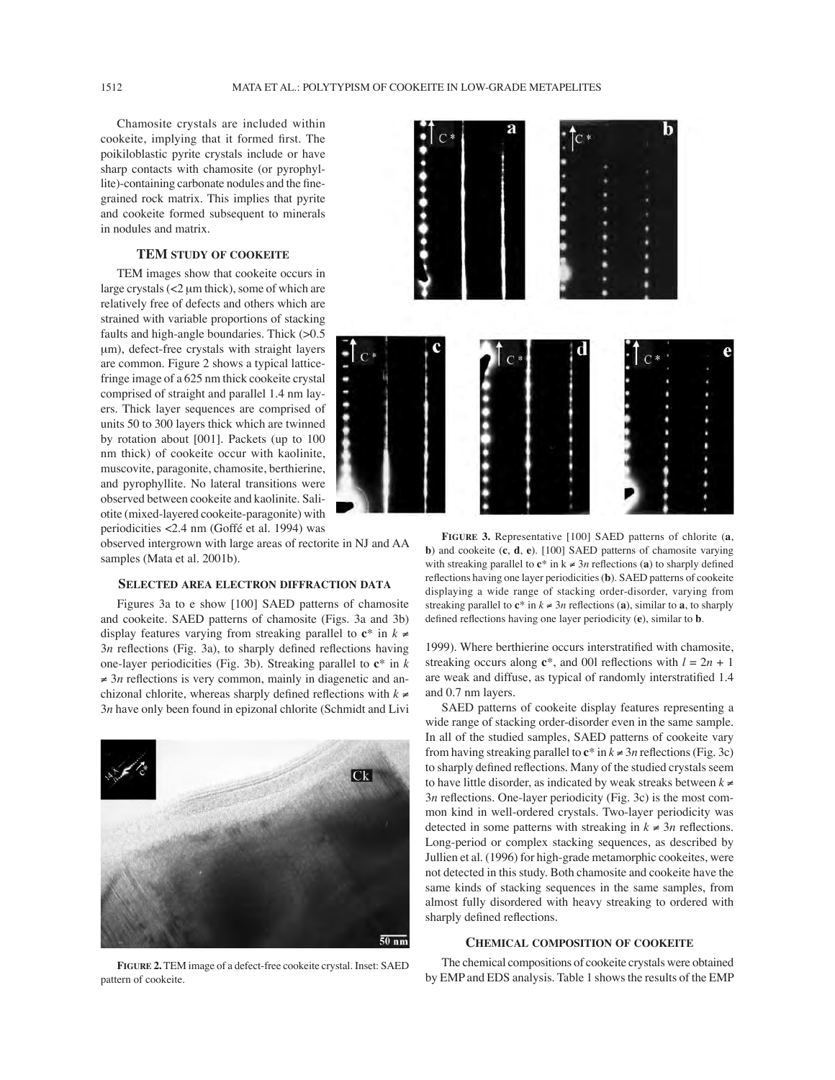Chamosite crystals are included within cookeite, implying that it formed first. The poikiloblastic pyrite crystals include or have sharp contacts with chamosite (or pyrophyllite)-containing carbonate nodules and the finegrained rock matrix. This implies that pyrite and cookeite formed subsequent to minerals in nodules and matrix.

### **TEM STUDY OF COOKEITE**

TEM images show that cookeite occurs in large crystals (<2 µm thick), some of which are relatively free of defects and others which are strained with variable proportions of stacking faults and high-angle boundaries. Thick (>0.5 µm), defect-free crystals with straight layers are common. Figure 2 shows a typical latticefringe image of a 625 nm thick cookeite crystal comprised of straight and parallel 1.4 nm layers. Thick layer sequences are comprised of units 50 to 300 layers thick which are twinned by rotation about [001]. Packets (up to 100 nm thick) of cookeite occur with kaolinite, muscovite, paragonite, chamosite, berthierine, and pyrophyllite. No lateral transitions were observed between cookeite and kaolinite. Saliotite (mixed-layered cookeite-paragonite) with periodicities <2.4 nm (Goffé et al. 1994) was

observed intergrown with large areas of rectorite in NJ and AA samples (Mata et al. 2001b).

### **SELECTED AREA ELECTRON DIFFRACTION DATA**

Figures 3a to e show [100] SAED patterns of chamosite and cookeite. SAED patterns of chamosite (Figs. 3a and 3b) display features varying from streaking parallel to  $c^*$  in  $k \neq$  $3n$  reflections (Fig. 3a), to sharply defined reflections having one-layer periodicities (Fig. 3b). Streaking parallel to **c**\* in *k*  $\neq$  3*n* reflections is very common, mainly in diagenetic and anchizonal chlorite, whereas sharply defined reflections with  $k \neq$ 3*n* have only been found in epizonal chlorite (Schmidt and Livi



b

**FIGURE 3.** Representative [100] SAED patterns of chlorite (**a**, **b**) and cookeite (**c**, **d**, **e**). [100] SAED patterns of chamosite varying with streaking parallel to  $c^*$  in  $k \neq 3n$  reflections (a) to sharply defined reflections having one layer periodicities (**b**). SAED patterns of cookeite displaying a wide range of stacking order-disorder, varying from streaking parallel to  $c^*$  in  $k \neq 3n$  reflections (a), similar to a, to sharply defined reflections having one layer periodicity (e), similar to **b**.

1999). Where berthierine occurs interstratified with chamosite, streaking occurs along  $e^*$ , and 001 reflections with  $l = 2n + 1$ are weak and diffuse, as typical of randomly interstratified 1.4 and 0.7 nm layers.

SAED patterns of cookeite display features representing a wide range of stacking order-disorder even in the same sample. In all of the studied samples, SAED patterns of cookeite vary from having streaking parallel to  $\mathbf{c}^*$  in  $k \neq 3n$  reflections (Fig. 3c) to sharply defined reflections. Many of the studied crystals seem to have little disorder, as indicated by weak streaks between  $k \neq$ 3*n* reflections. One-layer periodicity (Fig. 3c) is the most common kind in well-ordered crystals. Two-layer periodicity was detected in some patterns with streaking in  $k \neq 3n$  reflections. Long-period or complex stacking sequences, as described by Jullien et al. (1996) for high-grade metamorphic cookeites, were not detected in this study. Both chamosite and cookeite have the same kinds of stacking sequences in the same samples, from almost fully disordered with heavy streaking to ordered with sharply defined reflections.

### **CHEMICAL COMPOSITION OF COOKEITE**

**FIGURE 2.** TEM image of a defect-free cookeite crystal. Inset: SAED pattern of cookeite.

The chemical compositions of cookeite crystals were obtained by EMP and EDS analysis. Table 1 shows the results of the EMP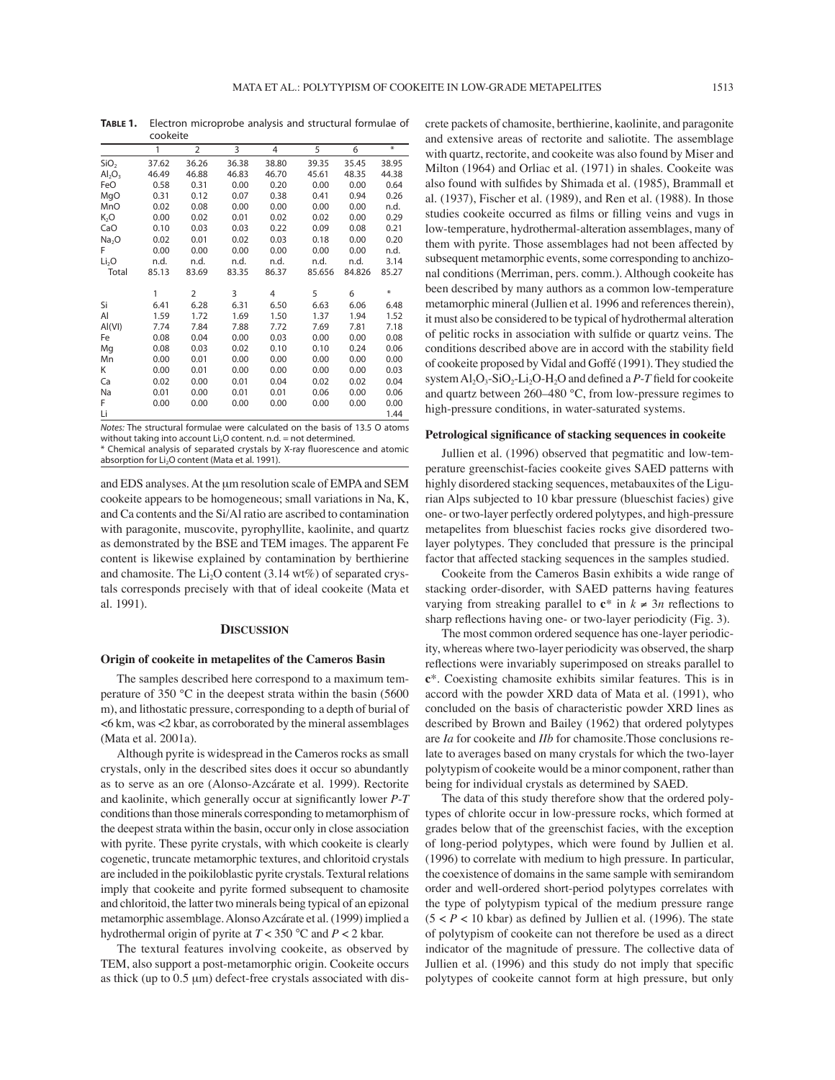**TABLE 1.** Electron microprobe analysis and structural formulae of

|                   | cookeite |                |       |                |        |        |                   |
|-------------------|----------|----------------|-------|----------------|--------|--------|-------------------|
|                   | 1        | $\overline{2}$ | 3     | $\overline{4}$ | 5      | 6      | $\overline{\ast}$ |
| SiO <sub>2</sub>  | 37.62    | 36.26          | 36.38 | 38.80          | 39.35  | 35.45  | 38.95             |
| $Al_2O_3$         | 46.49    | 46.88          | 46.83 | 46.70          | 45.61  | 48.35  | 44.38             |
| FeO               | 0.58     | 0.31           | 0.00  | 0.20           | 0.00   | 0.00   | 0.64              |
| MgO               | 0.31     | 0.12           | 0.07  | 0.38           | 0.41   | 0.94   | 0.26              |
| MnO               | 0.02     | 0.08           | 0.00  | 0.00           | 0.00   | 0.00   | n.d.              |
| K <sub>2</sub> O  | 0.00     | 0.02           | 0.01  | 0.02           | 0.02   | 0.00   | 0.29              |
| CaO               | 0.10     | 0.03           | 0.03  | 0.22           | 0.09   | 0.08   | 0.21              |
| Na <sub>2</sub> O | 0.02     | 0.01           | 0.02  | 0.03           | 0.18   | 0.00   | 0.20              |
| F                 | 0.00     | 0.00           | 0.00  | 0.00           | 0.00   | 0.00   | n.d.              |
| Li <sub>2</sub> O | n.d.     | n.d.           | n.d.  | n.d.           | n.d.   | n.d.   | 3.14              |
| Total             | 85.13    | 83.69          | 83.35 | 86.37          | 85.656 | 84.826 | 85.27             |
|                   | 1        | $\overline{2}$ | 3     | 4              | 5      | 6      | $\ast$            |
| Si                | 6.41     | 6.28           | 6.31  | 6.50           | 6.63   | 6.06   | 6.48              |
| Al                | 1.59     | 1.72           | 1.69  | 1.50           | 1.37   | 1.94   | 1.52              |
| AI(VI)            | 7.74     | 7.84           | 7.88  | 7.72           | 7.69   | 7.81   | 7.18              |
| Fe                | 0.08     | 0.04           | 0.00  | 0.03           | 0.00   | 0.00   | 0.08              |
| Mg                | 0.08     | 0.03           | 0.02  | 0.10           | 0.10   | 0.24   | 0.06              |
| Mn                | 0.00     | 0.01           | 0.00  | 0.00           | 0.00   | 0.00   | 0.00              |
| K                 | 0.00     | 0.01           | 0.00  | 0.00           | 0.00   | 0.00   | 0.03              |
| Ca                | 0.02     | 0.00           | 0.01  | 0.04           | 0.02   | 0.02   | 0.04              |
| Na                | 0.01     | 0.00           | 0.01  | 0.01           | 0.06   | 0.00   | 0.06              |
| F                 | 0.00     | 0.00           | 0.00  | 0.00           | 0.00   | 0.00   | 0.00              |
| Li                |          |                |       |                |        |        | 1.44              |

Notes: The structural formulae were calculated on the basis of 13.5 O atoms without taking into account  $Li<sub>2</sub>O$  content. n.d. = not determined.

\* Chemical analysis of separated crystals by X-ray fluorescence and atomic absorption for Li<sub>2</sub>O content (Mata et al. 1991).

and EDS analyses. At the µm resolution scale of EMPA and SEM cookeite appears to be homogeneous; small variations in Na, K, and Ca contents and the Si/Al ratio are ascribed to contamination with paragonite, muscovite, pyrophyllite, kaolinite, and quartz as demonstrated by the BSE and TEM images. The apparent Fe content is likewise explained by contamination by berthierine and chamosite. The  $Li<sub>2</sub>O$  content (3.14 wt%) of separated crystals corresponds precisely with that of ideal cookeite (Mata et al. 1991).

### **DISCUSSION**

#### **Origin of cookeite in metapelites of the Cameros Basin**

The samples described here correspond to a maximum temperature of 350 °C in the deepest strata within the basin (5600 m), and lithostatic pressure, corresponding to a depth of burial of <6 km, was <2 kbar, as corroborated by the mineral assemblages (Mata et al. 2001a).

Although pyrite is widespread in the Cameros rocks as small crystals, only in the described sites does it occur so abundantly as to serve as an ore (Alonso-Azcárate et al. 1999). Rectorite and kaolinite, which generally occur at significantly lower *P-T* conditions than those minerals corresponding to metamorphism of the deepest strata within the basin, occur only in close association with pyrite. These pyrite crystals, with which cookeite is clearly cogenetic, truncate metamorphic textures, and chloritoid crystals are included in the poikiloblastic pyrite crystals. Textural relations imply that cookeite and pyrite formed subsequent to chamosite and chloritoid, the latter two minerals being typical of an epizonal metamorphic assemblage. Alonso Azcárate et al. (1999) implied a hydrothermal origin of pyrite at *T* < 350 °C and *P* < 2 kbar.

The textural features involving cookeite, as observed by TEM, also support a post-metamorphic origin. Cookeite occurs as thick (up to  $0.5 \mu m$ ) defect-free crystals associated with discrete packets of chamosite, berthierine, kaolinite, and paragonite and extensive areas of rectorite and saliotite. The assemblage with quartz, rectorite, and cookeite was also found by Miser and Milton (1964) and Orliac et al. (1971) in shales. Cookeite was also found with sulfides by Shimada et al. (1985), Brammall et al. (1937), Fischer et al. (1989), and Ren et al. (1988). In those studies cookeite occurred as films or filling veins and vugs in low-temperature, hydrothermal-alteration assemblages, many of them with pyrite. Those assemblages had not been affected by subsequent metamorphic events, some corresponding to anchizonal conditions (Merriman, pers. comm.). Although cookeite has been described by many authors as a common low-temperature metamorphic mineral (Jullien et al. 1996 and references therein), it must also be considered to be typical of hydrothermal alteration of pelitic rocks in association with sulfide or quartz veins. The conditions described above are in accord with the stability field of cookeite proposed by Vidal and Goffé (1991). They studied the system  $Al_2O_3-SiO_2-Li_2O-H_2O$  and defined a  $P-T$  field for cookeite and quartz between 260–480 °C, from low-pressure regimes to high-pressure conditions, in water-saturated systems.

#### Petrological significance of stacking sequences in cookeite

Jullien et al. (1996) observed that pegmatitic and low-temperature greenschist-facies cookeite gives SAED patterns with highly disordered stacking sequences, metabauxites of the Ligurian Alps subjected to 10 kbar pressure (blueschist facies) give one- or two-layer perfectly ordered polytypes, and high-pressure metapelites from blueschist facies rocks give disordered twolayer polytypes. They concluded that pressure is the principal factor that affected stacking sequences in the samples studied.

Cookeite from the Cameros Basin exhibits a wide range of stacking order-disorder, with SAED patterns having features varying from streaking parallel to  $c^*$  in  $k \neq 3n$  reflections to sharp reflections having one- or two-layer periodicity (Fig. 3).

The most common ordered sequence has one-layer periodicity, whereas where two-layer periodicity was observed, the sharp reflections were invariably superimposed on streaks parallel to **c**\*. Coexisting chamosite exhibits similar features. This is in accord with the powder XRD data of Mata et al. (1991), who concluded on the basis of characteristic powder XRD lines as described by Brown and Bailey (1962) that ordered polytypes are *Ia* for cookeite and *IIb* for chamosite.Those conclusions relate to averages based on many crystals for which the two-layer polytypism of cookeite would be a minor component, rather than being for individual crystals as determined by SAED.

The data of this study therefore show that the ordered polytypes of chlorite occur in low-pressure rocks, which formed at grades below that of the greenschist facies, with the exception of long-period polytypes, which were found by Jullien et al. (1996) to correlate with medium to high pressure. In particular, the coexistence of domains in the same sample with semirandom order and well-ordered short-period polytypes correlates with the type of polytypism typical of the medium pressure range  $(5 < P < 10$  kbar) as defined by Jullien et al. (1996). The state of polytypism of cookeite can not therefore be used as a direct indicator of the magnitude of pressure. The collective data of Jullien et al. (1996) and this study do not imply that specific polytypes of cookeite cannot form at high pressure, but only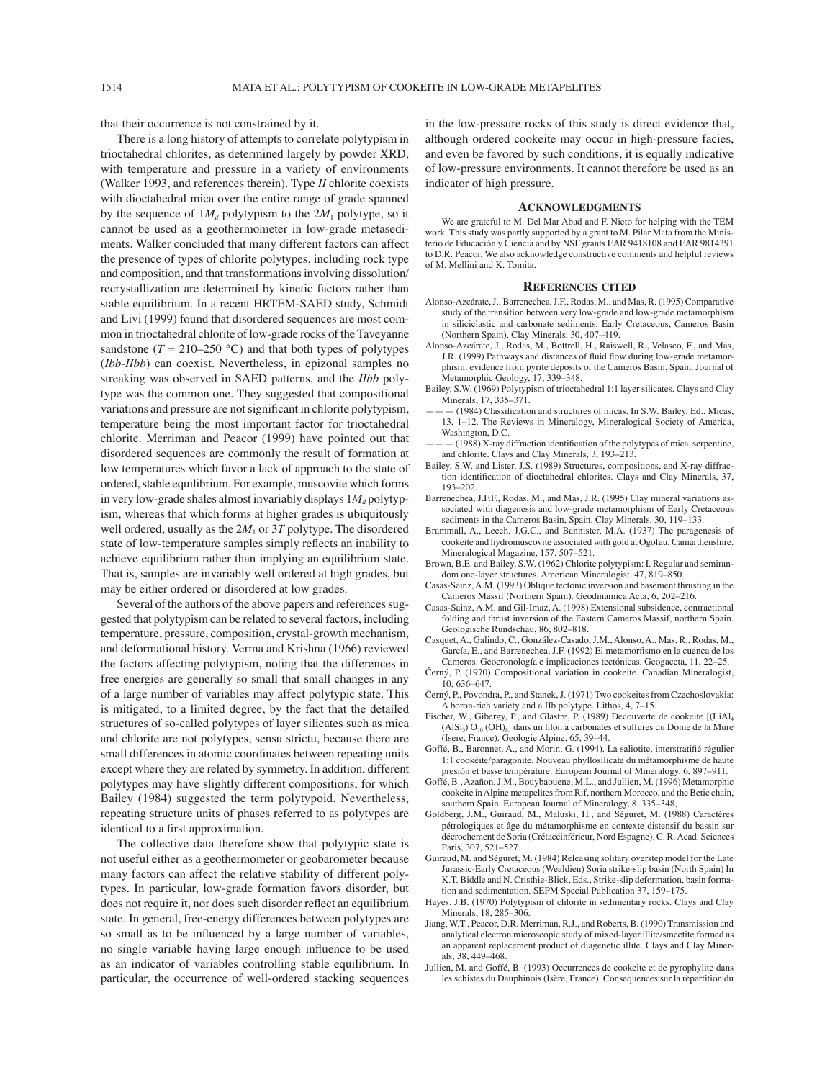that their occurrence is not constrained by it.

There is a long history of attempts to correlate polytypism in trioctahedral chlorites, as determined largely by powder XRD, with temperature and pressure in a variety of environments (Walker 1993, and references therein). Type *II* chlorite coexists with dioctahedral mica over the entire range of grade spanned by the sequence of  $1M_d$  polytypism to the  $2M_1$  polytype, so it cannot be used as a geothermometer in low-grade metasediments. Walker concluded that many different factors can affect the presence of types of chlorite polytypes, including rock type and composition, and that transformations involving dissolution/ recrystallization are determined by kinetic factors rather than stable equilibrium. In a recent HRTEM-SAED study, Schmidt and Livi (1999) found that disordered sequences are most common in trioctahedral chlorite of low-grade rocks of the Taveyanne sandstone  $(T = 210-250$  °C) and that both types of polytypes (*Ibb*-*IIbb*) can coexist. Nevertheless, in epizonal samples no streaking was observed in SAED patterns, and the *IIbb* polytype was the common one. They suggested that compositional variations and pressure are not significant in chlorite polytypism, temperature being the most important factor for trioctahedral chlorite. Merriman and Peacor (1999) have pointed out that disordered sequences are commonly the result of formation at low temperatures which favor a lack of approach to the state of ordered, stable equilibrium. For example, muscovite which forms in very low-grade shales almost invariably displays  $1M_d$  polytypism, whereas that which forms at higher grades is ubiquitously well ordered, usually as the  $2M_1$  or  $3T$  polytype. The disordered state of low-temperature samples simply reflects an inability to achieve equilibrium rather than implying an equilibrium state. That is, samples are invariably well ordered at high grades, but may be either ordered or disordered at low grades.

Several of the authors of the above papers and references suggested that polytypism can be related to several factors, including temperature, pressure, composition, crystal-growth mechanism, and deformational history. Verma and Krishna (1966) reviewed the factors affecting polytypism, noting that the differences in free energies are generally so small that small changes in any of a large number of variables may affect polytypic state. This is mitigated, to a limited degree, by the fact that the detailed structures of so-called polytypes of layer silicates such as mica and chlorite are not polytypes, sensu strictu, because there are small differences in atomic coordinates between repeating units except where they are related by symmetry. In addition, different polytypes may have slightly different compositions, for which Bailey (1984) suggested the term polytypoid. Nevertheless, repeating structure units of phases referred to as polytypes are identical to a first approximation.

The collective data therefore show that polytypic state is not useful either as a geothermometer or geobarometer because many factors can affect the relative stability of different polytypes. In particular, low-grade formation favors disorder, but does not require it, nor does such disorder reflect an equilibrium state. In general, free-energy differences between polytypes are so small as to be influenced by a large number of variables, no single variable having large enough influence to be used as an indicator of variables controlling stable equilibrium. In particular, the occurrence of well-ordered stacking sequences

in the low-pressure rocks of this study is direct evidence that, although ordered cookeite may occur in high-pressure facies, and even be favored by such conditions, it is equally indicative of low-pressure environments. It cannot therefore be used as an indicator of high pressure.

#### **ACKNOWLEDGMENTS**

We are grateful to M. Del Mar Abad and F. Nieto for helping with the TEM work. This study was partly supported by a grant to M. Pilar Mata from the Ministerio de Educación y Ciencia and by NSF grants EAR 9418108 and EAR 9814391 to D.R. Peacor. We also acknowledge constructive comments and helpful reviews of M. Mellini and K. Tomita.

#### **REFERENCES CITED**

- Alonso-Azcárate, J., Barrenechea, J.F., Rodas, M., and Mas, R. (1995) Comparative study of the transition between very low-grade and low-grade metamorphism in siliciclastic and carbonate sediments: Early Cretaceous, Cameros Basin (Northern Spain). Clay Minerals, 30, 407–419.
- Alonso-Azcárate, J., Rodas, M., Bottrell, H., Raiswell, R., Velasco, F., and Mas, J.R. (1999) Pathways and distances of fluid flow during low-grade metamorphism: evidence from pyrite deposits of the Cameros Basin, Spain. Journal of Metamorphic Geology, 17, 339–348.
- Bailey, S.W. (1969) Polytypism of trioctahedral 1:1 layer silicates. Clays and Clay Minerals, 17, 335–371.
- $-$  (1984) Classification and structures of micas. In S.W. Bailey, Ed., Micas, 13, 1–12. The Reviews in Mineralogy, Mineralogical Society of America, Washington, D.C.
- $-\frac{1988}{8}$  X-ray diffraction identification of the polytypes of mica, serpentine, and chlorite. Clays and Clay Minerals, 3, 193–213.
- Bailey, S.W. and Lister, J.S. (1989) Structures, compositions, and X-ray diffraction identification of dioctahedral chlorites. Clays and Clay Minerals, 37, 193–202.
- Barrenechea, J.F.F., Rodas, M., and Mas, J.R. (1995) Clay mineral variations associated with diagenesis and low-grade metamorphism of Early Cretaceous sediments in the Cameros Basin, Spain. Clay Minerals, 30, 119–133.
- Brammall, A., Leech, J.G.C., and Bannister, M.A. (1937) The paragenesis of cookeite and hydromuscovite associated with gold at Ogofau, Camarthenshire. Mineralogical Magazine, 157, 507–521.
- Brown, B.E. and Bailey, S.W. (1962) Chlorite polytypism: I. Regular and semirandom one-layer structures. American Mineralogist, 47, 819–850.
- Casas-Sainz, A.M. (1993) Oblique tectonic inversion and basement thrusting in the Cameros Massif (Northern Spain). Geodinamica Acta, 6, 202–216.
- Casas-Sainz, A.M. and Gil-Imaz, A. (1998) Extensional subsidence, contractional folding and thrust inversion of the Eastern Cameros Massif, northern Spain. Geologische Rundschau, 86, 802–818.
- Casquet, A., Galindo, C., González-Casado, J.M., Alonso, A., Mas, R., Rodas, M., García, E., and Barrenechea, J.F. (1992) El metamorfismo en la cuenca de los Cameros. Geocronología e implicaciones tectónicas. Geogaceta, 11, 22–25.
- Černý, P. (1970) Compositional variation in cookeite. Canadian Mineralogist, 10, 636–647.
- Černý, P., Povondra, P., and Stanek, J. (1971) Two cookeites from Czechoslovakia: A boron-rich variety and a IIb polytype. Lithos, 4, 7–15.
- Fischer, W., Gibergy, P., and Glastre, P. (1989) Decouverte de cookeite [(LiAl4  $(AISi<sub>3</sub>) O<sub>10</sub> (OH)<sub>8</sub>$  dans un filon a carbonates et sulfures du Dome de la Mure (Isere, France). Geologie Alpine, 65, 39–44.
- Goffé, B., Baronnet, A., and Morin, G. (1994). La saliotite, interstratifié régulier 1:1 cookéite/paragonite. Nouveau phyllosilicate du métamorphisme de haute presión et basse température. European Journal of Mineralogy, 6, 897–911.
- Goffé, B., Azañon, J.M., Bouybaouene, M.L., and Jullien, M. (1996) Metamorphic cookeite in Alpine metapelites from Rif, northern Morocco, and the Betic chain, southern Spain. European Journal of Mineralogy, 8, 335–348,
- Goldberg, J.M., Guiraud, M., Maluski, H., and Séguret, M. (1988) Caractères pétrologiques et âge du métamorphisme en contexte distensif du bassin sur décrochement de Soria (Crétacéinférieur, Nord Espagne). C. R. Acad. Sciences Paris, 307, 521–527.
- Guiraud, M. and Séguret, M. (1984) Releasing solitary overstep model for the Late Jurassic-Early Cretaceous (Wealdien) Soria strike-slip basin (North Spain) In K.T. Biddle and N. Cristhie-Blick, Eds., Strike-slip deformation, basin formation and sedimentation. SEPM Special Publication 37, 159–175.
- Hayes, J.B. (1970) Polytypism of chlorite in sedimentary rocks. Clays and Clay Minerals, 18, 285–306.
- Jiang, W.T., Peacor, D.R. Merriman, R.J., and Roberts, B. (1990) Transmission and analytical electron microscopic study of mixed-layer illite/smectite formed as an apparent replacement product of diagenetic illite. Clays and Clay Minerals, 38, 449–468.
- Jullien, M. and Goffé, B. (1993) Occurrences de cookeite et de pyrophylite dans les schistes du Dauphinois (Isère, France): Consequences sur la rèpartition du